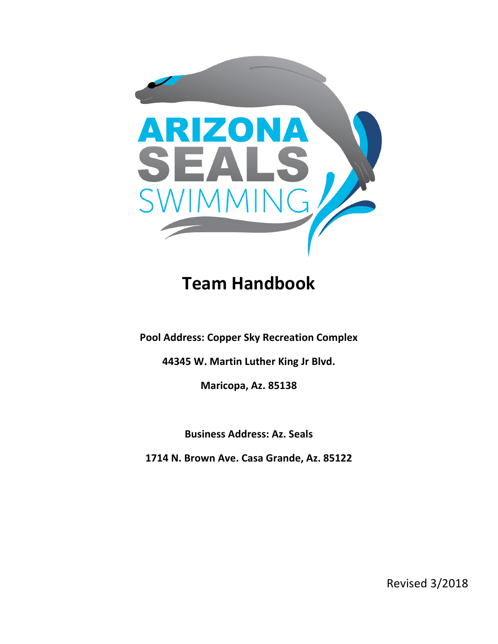

# **Team Handbook**

**Pool Address: Copper Sky Recreation Complex** 

**44345 W. Martin Luther King Jr Blvd.** 

**Maricopa, Az. 85138**

**Business Address: Az. Seals** 

**1714 N. Brown Ave. Casa Grande, Az. 85122**

Revised 3/2018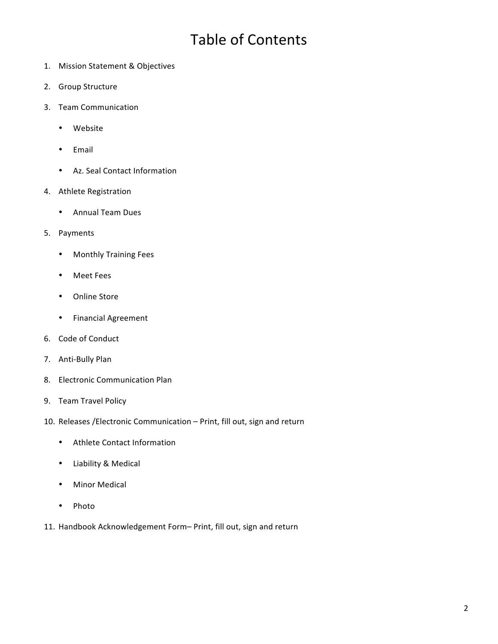### Table of Contents

- 1. Mission Statement & Objectives
- 2. Group Structure
- 3. Team Communication
	- Website
	- Email
	- Az. Seal Contact Information
- 4. Athlete Registration
	- Annual Team Dues
- 5. Payments
	- Monthly Training Fees
	- Meet Fees
	- Online Store
	- Financial Agreement
- 6. Code of Conduct
- 7. Anti-Bully Plan
- 8. Electronic Communication Plan
- 9. Team Travel Policy
- 10. Releases / Electronic Communication Print, fill out, sign and return
	- Athlete Contact Information
	- Liability & Medical
	- Minor Medical
	- Photo
- 11. Handbook Acknowledgement Form- Print, fill out, sign and return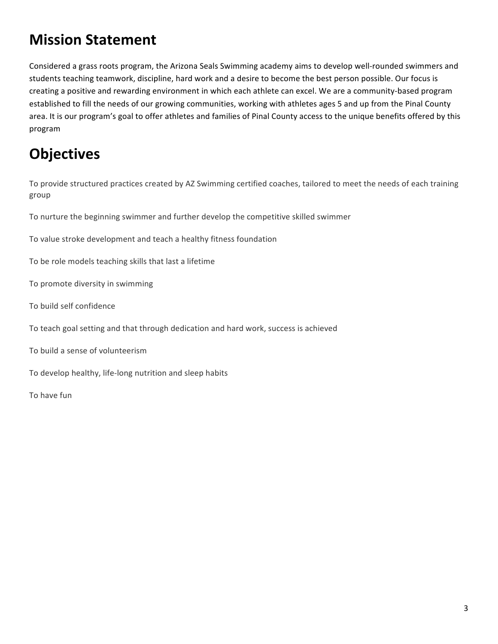### **Mission Statement**

Considered a grass roots program, the Arizona Seals Swimming academy aims to develop well-rounded swimmers and students teaching teamwork, discipline, hard work and a desire to become the best person possible. Our focus is creating a positive and rewarding environment in which each athlete can excel. We are a community-based program established to fill the needs of our growing communities, working with athletes ages 5 and up from the Pinal County area. It is our program's goal to offer athletes and families of Pinal County access to the unique benefits offered by this program

# **Objectives**

To provide structured practices created by AZ Swimming certified coaches, tailored to meet the needs of each training group

To nurture the beginning swimmer and further develop the competitive skilled swimmer

To value stroke development and teach a healthy fitness foundation

To be role models teaching skills that last a lifetime

- To promote diversity in swimming
- To build self confidence
- To teach goal setting and that through dedication and hard work, success is achieved
- To build a sense of volunteerism
- To develop healthy, life-long nutrition and sleep habits

To have fun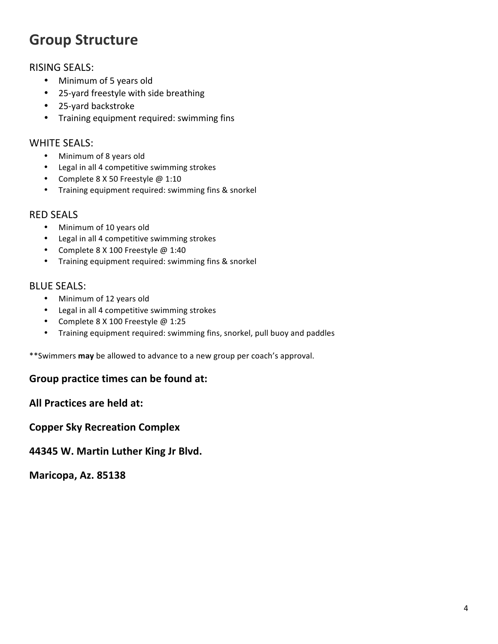### **Group Structure**

#### **RISING SEALS:**

- Minimum of 5 years old
- 25-yard freestyle with side breathing
- 25-yard backstroke
- Training equipment required: swimming fins

#### **WHITE SEALS:**

- Minimum of 8 years old
- Legal in all 4 competitive swimming strokes
- Complete 8 X 50 Freestyle @ 1:10
- Training equipment required: swimming fins & snorkel

#### RED SEALS

- Minimum of 10 years old
- Legal in all 4 competitive swimming strokes
- Complete 8 X 100 Freestyle @ 1:40
- Training equipment required: swimming fins & snorkel

#### **BLUE SEALS:**

- Minimum of 12 years old
- Legal in all 4 competitive swimming strokes
- Complete 8 X 100 Freestyle @ 1:25
- Training equipment required: swimming fins, snorkel, pull buoy and paddles

\*\*Swimmers may be allowed to advance to a new group per coach's approval.

#### Group practice times can be found at:

**All Practices are held at:** 

**Copper Sky Recreation Complex** 

**44345 W. Martin Luther King Jr Blvd.** 

**Maricopa, Az. 85138**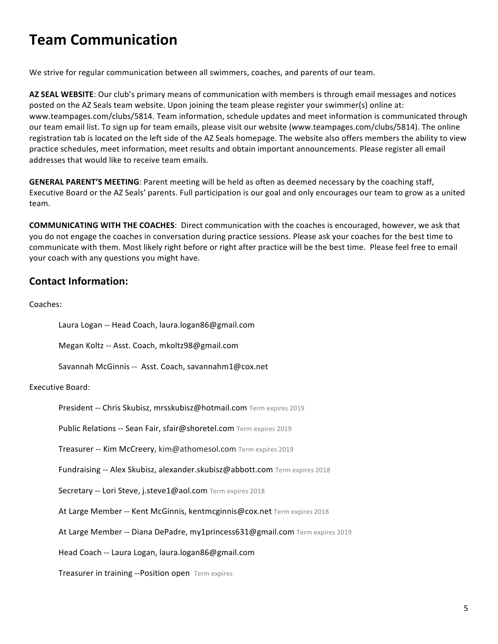### **Team Communication**

We strive for regular communication between all swimmers, coaches, and parents of our team.

AZ SEAL WEBSITE: Our club's primary means of communication with members is through email messages and notices posted on the AZ Seals team website. Upon joining the team please register your swimmer(s) online at: www.teampages.com/clubs/5814. Team information, schedule updates and meet information is communicated through our team email list. To sign up for team emails, please visit our website (www.teampages.com/clubs/5814). The online registration tab is located on the left side of the AZ Seals homepage. The website also offers members the ability to view practice schedules, meet information, meet results and obtain important announcements. Please register all email addresses that would like to receive team emails.

**GENERAL PARENT'S MEETING**: Parent meeting will be held as often as deemed necessary by the coaching staff, Executive Board or the AZ Seals' parents. Full participation is our goal and only encourages our team to grow as a united team.

**COMMUNICATING WITH THE COACHES:** Direct communication with the coaches is encouraged, however, we ask that you do not engage the coaches in conversation during practice sessions. Please ask your coaches for the best time to communicate with them. Most likely right before or right after practice will be the best time. Please feel free to email your coach with any questions you might have.

### **Contact Information:**

Coaches:

Laura Logan -- Head Coach, laura.logan86@gmail.com

Megan Koltz -- Asst. Coach, mkoltz98@gmail.com

Savannah McGinnis -- Asst. Coach, savannahm1@cox.net

#### Executive Board:

President -- Chris Skubisz, mrsskubisz@hotmail.com Term expires 2019

Public Relations -- Sean Fair, sfair@shoretel.com Term expires 2019

Treasurer -- Kim McCreery, kim@athomesol.com Term expires 2019

Fundraising -- Alex Skubisz, alexander.skubisz@abbott.com Term expires 2018

Secretary -- Lori Steve, j.steve1@aol.com Term expires 2018

At Large Member -- Kent McGinnis, kentmcginnis@cox.net Term expires 2018

At Large Member -- Diana DePadre, my1princess631@gmail.com Term expires 2019

Head Coach -- Laura Logan, laura.logan86@gmail.com

Treasurer in training --Position open Term expires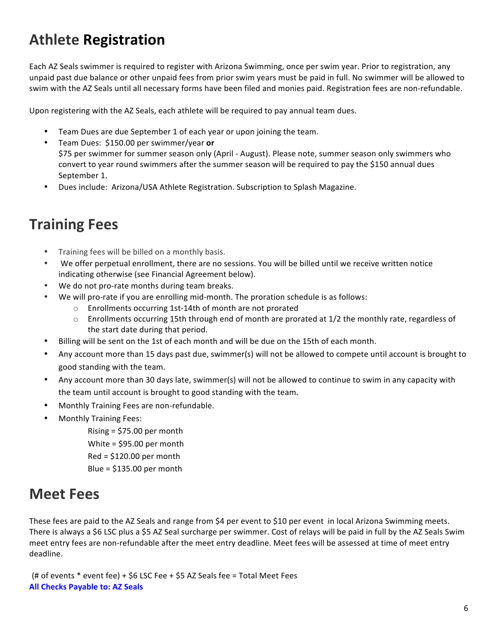### **Athlete Registration**

Each AZ Seals swimmer is required to register with Arizona Swimming, once per swim year. Prior to registration, any unpaid past due balance or other unpaid fees from prior swim years must be paid in full. No swimmer will be allowed to swim with the AZ Seals until all necessary forms have been filed and monies paid. Registration fees are non-refundable.

Upon registering with the AZ Seals, each athlete will be required to pay annual team dues.

- Team Dues are due September 1 of each year or upon joining the team.
- Team Dues: \$150.00 per swimmer/year **or** \$75 per swimmer for summer season only (April - August). Please note, summer season only swimmers who convert to year round swimmers after the summer season will be required to pay the \$150 annual dues September 1.
- Dues include: Arizona/USA Athlete Registration. Subscription to Splash Magazine.

### **Training Fees**

- Training fees will be billed on a monthly basis.
- We offer perpetual enrollment, there are no sessions. You will be billed until we receive written notice indicating otherwise (see Financial Agreement below).
- We do not pro-rate months during team breaks.
- We will pro-rate if you are enrolling mid-month. The proration schedule is as follows:
	- $\circ$  Enrollments occurring 1st-14th of month are not prorated
	- $\circ$  Enrollments occurring 15th through end of month are prorated at 1/2 the monthly rate, regardless of the start date during that period.
- Billing will be sent on the 1st of each month and will be due on the 15th of each month.
- Any account more than 15 days past due, swimmer(s) will not be allowed to compete until account is brought to good standing with the team.
- Any account more than 30 days late, swimmer(s) will not be allowed to continue to swim in any capacity with the team until account is brought to good standing with the team.
- Monthly Training Fees are non-refundable.
- Monthly Training Fees:
	- Rising  $=$  \$75.00 per month White =  $$95.00$  per month  $Red = $120.00$  per month Blue =  $$135.00$  per month

### **Meet Fees**

These fees are paid to the AZ Seals and range from \$4 per event to \$10 per event in local Arizona Swimming meets. There is always a \$6 LSC plus a \$5 AZ Seal surcharge per swimmer. Cost of relays will be paid in full by the AZ Seals Swim meet entry fees are non-refundable after the meet entry deadline. Meet fees will be assessed at time of meet entry deadline.

(# of events  $*$  event fee) + \$6 LSC Fee + \$5 AZ Seals fee = Total Meet Fees **All Checks Payable to: AZ Seals**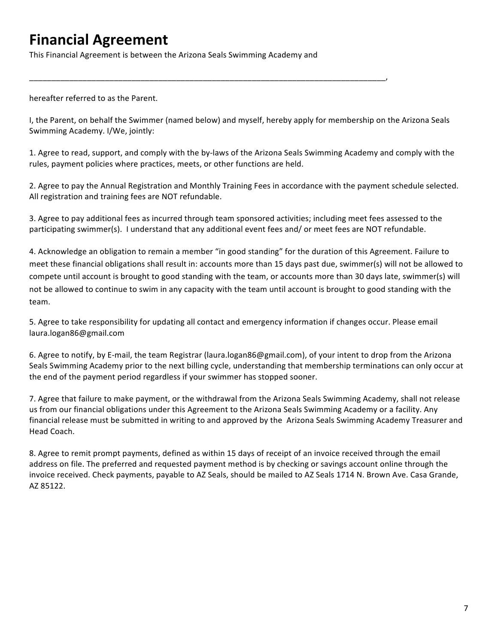### **Financial Agreement**

This Financial Agreement is between the Arizona Seals Swimming Academy and

\_\_\_\_\_\_\_\_\_\_\_\_\_\_\_\_\_\_\_\_\_\_\_\_\_\_\_\_\_\_\_\_\_\_\_\_\_\_\_\_\_\_\_\_\_\_\_\_\_\_\_\_\_\_\_\_\_\_\_\_\_\_\_\_\_\_\_\_\_\_\_\_\_\_\_\_\_\_\_\_,

hereafter referred to as the Parent.

I, the Parent, on behalf the Swimmer (named below) and myself, hereby apply for membership on the Arizona Seals Swimming Academy. I/We, jointly:

1. Agree to read, support, and comply with the by-laws of the Arizona Seals Swimming Academy and comply with the rules, payment policies where practices, meets, or other functions are held.

2. Agree to pay the Annual Registration and Monthly Training Fees in accordance with the payment schedule selected. All registration and training fees are NOT refundable.

3. Agree to pay additional fees as incurred through team sponsored activities; including meet fees assessed to the participating swimmer(s). I understand that any additional event fees and/ or meet fees are NOT refundable.

4. Acknowledge an obligation to remain a member "in good standing" for the duration of this Agreement. Failure to meet these financial obligations shall result in: accounts more than 15 days past due, swimmer(s) will not be allowed to compete until account is brought to good standing with the team, or accounts more than 30 days late, swimmer(s) will not be allowed to continue to swim in any capacity with the team until account is brought to good standing with the team.

5. Agree to take responsibility for updating all contact and emergency information if changes occur. Please email laura.logan86@gmail.com

6. Agree to notify, by E-mail, the team Registrar (laura.logan86@gmail.com), of your intent to drop from the Arizona Seals Swimming Academy prior to the next billing cycle, understanding that membership terminations can only occur at the end of the payment period regardless if your swimmer has stopped sooner.

7. Agree that failure to make payment, or the withdrawal from the Arizona Seals Swimming Academy, shall not release us from our financial obligations under this Agreement to the Arizona Seals Swimming Academy or a facility. Any financial release must be submitted in writing to and approved by the Arizona Seals Swimming Academy Treasurer and Head Coach. 

8. Agree to remit prompt payments, defined as within 15 days of receipt of an invoice received through the email address on file. The preferred and requested payment method is by checking or savings account online through the invoice received. Check payments, payable to AZ Seals, should be mailed to AZ Seals 1714 N. Brown Ave. Casa Grande, AZ 85122.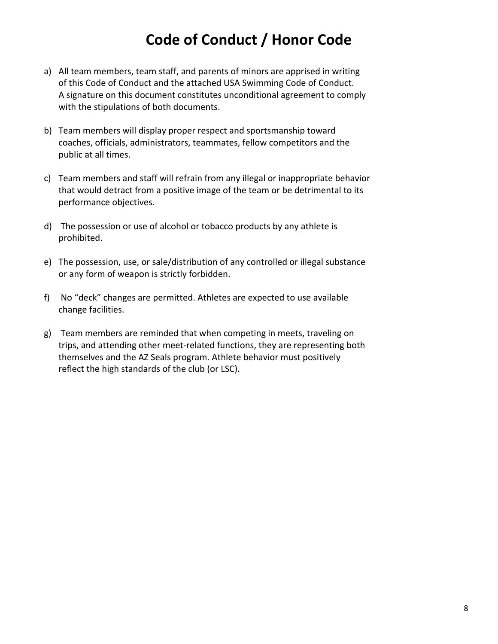### **Code of Conduct / Honor Code**

- a) All team members, team staff, and parents of minors are apprised in writing of this Code of Conduct and the attached USA Swimming Code of Conduct. A signature on this document constitutes unconditional agreement to comply with the stipulations of both documents.
- b) Team members will display proper respect and sportsmanship toward coaches, officials, administrators, teammates, fellow competitors and the public at all times.
- c) Team members and staff will refrain from any illegal or inappropriate behavior that would detract from a positive image of the team or be detrimental to its performance objectives.
- d) The possession or use of alcohol or tobacco products by any athlete is prohibited.
- e) The possession, use, or sale/distribution of any controlled or illegal substance or any form of weapon is strictly forbidden.
- f) No "deck" changes are permitted. Athletes are expected to use available change facilities.
- g) Team members are reminded that when competing in meets, traveling on trips, and attending other meet-related functions, they are representing both themselves and the AZ Seals program. Athlete behavior must positively reflect the high standards of the club (or LSC).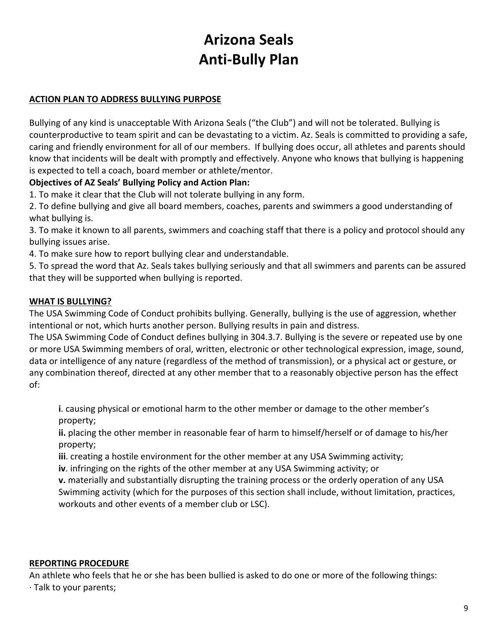### **Arizona Seals Anti-Bully Plan**

#### **ACTION PLAN TO ADDRESS BULLYING PURPOSE**

Bullying of any kind is unacceptable With Arizona Seals ("the Club") and will not be tolerated. Bullying is counterproductive to team spirit and can be devastating to a victim. Az. Seals is committed to providing a safe, caring and friendly environment for all of our members. If bullying does occur, all athletes and parents should know that incidents will be dealt with promptly and effectively. Anyone who knows that bullying is happening is expected to tell a coach, board member or athlete/mentor.

#### **Objectives of AZ Seals' Bullying Policy and Action Plan:**

1. To make it clear that the Club will not tolerate bullying in any form.

2. To define bullying and give all board members, coaches, parents and swimmers a good understanding of what bullying is.

3. To make it known to all parents, swimmers and coaching staff that there is a policy and protocol should any bullying issues arise.

4. To make sure how to report bullying clear and understandable.

5. To spread the word that Az. Seals takes bullying seriously and that all swimmers and parents can be assured that they will be supported when bullying is reported.

#### **WHAT IS BULLYING?**

The USA Swimming Code of Conduct prohibits bullying. Generally, bullying is the use of aggression, whether intentional or not, which hurts another person. Bullying results in pain and distress.

The USA Swimming Code of Conduct defines bullying in 304.3.7. Bullying is the severe or repeated use by one or more USA Swimming members of oral, written, electronic or other technological expression, image, sound, data or intelligence of any nature (regardless of the method of transmission), or a physical act or gesture, or any combination thereof, directed at any other member that to a reasonably objective person has the effect of:

**i**. causing physical or emotional harm to the other member or damage to the other member's property;

**ii.** placing the other member in reasonable fear of harm to himself/herself or of damage to his/her property;

**iii**. creating a hostile environment for the other member at any USA Swimming activity;

**iv**. infringing on the rights of the other member at any USA Swimming activity; or

**v.** materially and substantially disrupting the training process or the orderly operation of any USA Swimming activity (which for the purposes of this section shall include, without limitation, practices, workouts and other events of a member club or LSC).

#### **REPORTING PROCEDURE**

An athlete who feels that he or she has been bullied is asked to do one or more of the following things:  $\cdot$  Talk to your parents;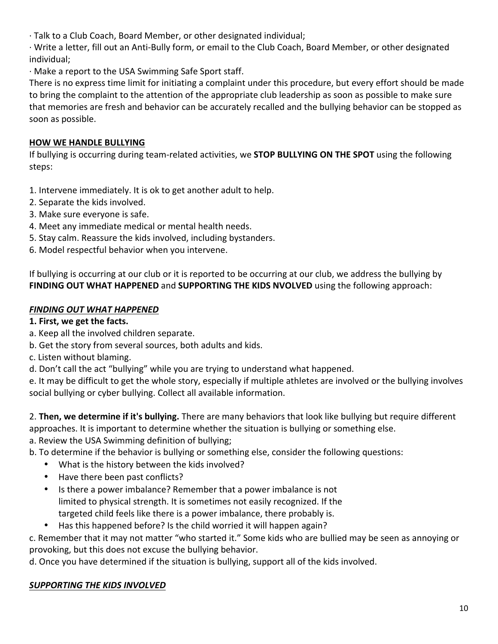· Talk to a Club Coach, Board Member, or other designated individual;

· Write a letter, fill out an Anti-Bully form, or email to the Club Coach, Board Member, or other designated individual;

· Make a report to the USA Swimming Safe Sport staff.

There is no express time limit for initiating a complaint under this procedure, but every effort should be made to bring the complaint to the attention of the appropriate club leadership as soon as possible to make sure that memories are fresh and behavior can be accurately recalled and the bullying behavior can be stopped as soon as possible.

#### **HOW WE HANDLE BULLYING**

If bullying is occurring during team-related activities, we **STOP BULLYING ON THE SPOT** using the following steps:

1. Intervene immediately. It is ok to get another adult to help.

- 2. Separate the kids involved.
- 3. Make sure everyone is safe.
- 4. Meet any immediate medical or mental health needs.
- 5. Stay calm. Reassure the kids involved, including bystanders.
- 6. Model respectful behavior when you intervene.

If bullying is occurring at our club or it is reported to be occurring at our club, we address the bullying by FINDING OUT WHAT HAPPENED and SUPPORTING THE KIDS NVOLVED using the following approach:

#### **FINDING OUT WHAT HAPPENED**

#### 1. First, we get the facts.

- a. Keep all the involved children separate.
- b. Get the story from several sources, both adults and kids.
- c. Listen without blaming.
- d. Don't call the act "bullying" while you are trying to understand what happened.

e. It may be difficult to get the whole story, especially if multiple athletes are involved or the bullying involves social bullying or cyber bullying. Collect all available information.

2. **Then, we determine if it's bullying.** There are many behaviors that look like bullying but require different approaches. It is important to determine whether the situation is bullying or something else. a. Review the USA Swimming definition of bullying;

b. To determine if the behavior is bullying or something else, consider the following questions:

- What is the history between the kids involved?
- Have there been past conflicts?
- Is there a power imbalance? Remember that a power imbalance is not limited to physical strength. It is sometimes not easily recognized. If the targeted child feels like there is a power imbalance, there probably is.
- Has this happened before? Is the child worried it will happen again?

c. Remember that it may not matter "who started it." Some kids who are bullied may be seen as annoying or provoking, but this does not excuse the bullying behavior.

d. Once you have determined if the situation is bullying, support all of the kids involved.

#### **SUPPORTING THE KIDS INVOLVED**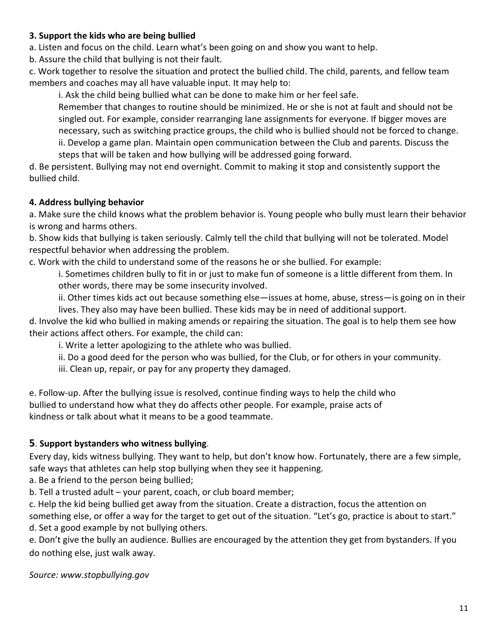#### **3. Support the kids who are being bullied**

a. Listen and focus on the child. Learn what's been going on and show you want to help.

b. Assure the child that bullying is not their fault.

c. Work together to resolve the situation and protect the bullied child. The child, parents, and fellow team members and coaches may all have valuable input. It may help to:

i. Ask the child being bullied what can be done to make him or her feel safe.

Remember that changes to routine should be minimized. He or she is not at fault and should not be singled out. For example, consider rearranging lane assignments for everyone. If bigger moves are necessary, such as switching practice groups, the child who is bullied should not be forced to change. ii. Develop a game plan. Maintain open communication between the Club and parents. Discuss the steps that will be taken and how bullying will be addressed going forward.

d. Be persistent. Bullying may not end overnight. Commit to making it stop and consistently support the bullied child.

#### **4. Address bullying behavior**

a. Make sure the child knows what the problem behavior is. Young people who bully must learn their behavior is wrong and harms others.

b. Show kids that bullying is taken seriously. Calmly tell the child that bullying will not be tolerated. Model respectful behavior when addressing the problem.

c. Work with the child to understand some of the reasons he or she bullied. For example:

i. Sometimes children bully to fit in or just to make fun of someone is a little different from them. In other words, there may be some insecurity involved.

ii. Other times kids act out because something else—issues at home, abuse, stress—is going on in their

lives. They also may have been bullied. These kids may be in need of additional support. d. Involve the kid who bullied in making amends or repairing the situation. The goal is to help them see how their actions affect others. For example, the child can:

i. Write a letter apologizing to the athlete who was bullied.

ii. Do a good deed for the person who was bullied, for the Club, or for others in your community.

iii. Clean up, repair, or pay for any property they damaged.

e. Follow-up. After the bullying issue is resolved, continue finding ways to help the child who bullied to understand how what they do affects other people. For example, praise acts of kindness or talk about what it means to be a good teammate.

#### **5**. **Support bystanders who witness bullying**.

Every day, kids witness bullying. They want to help, but don't know how. Fortunately, there are a few simple, safe ways that athletes can help stop bullying when they see it happening.

a. Be a friend to the person being bullied;

b. Tell a trusted adult - your parent, coach, or club board member;

c. Help the kid being bullied get away from the situation. Create a distraction, focus the attention on something else, or offer a way for the target to get out of the situation. "Let's go, practice is about to start." d. Set a good example by not bullying others.

e. Don't give the bully an audience. Bullies are encouraged by the attention they get from bystanders. If you do nothing else, just walk away.

*Source: www.stopbullying.gov*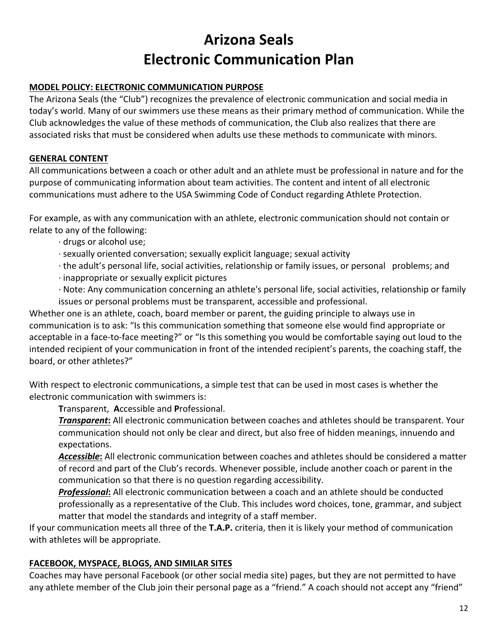# **Arizona Seals Electronic Communication Plan**

#### **MODEL POLICY: ELECTRONIC COMMUNICATION PURPOSE**

The Arizona Seals (the "Club") recognizes the prevalence of electronic communication and social media in today's world. Many of our swimmers use these means as their primary method of communication. While the Club acknowledges the value of these methods of communication, the Club also realizes that there are associated risks that must be considered when adults use these methods to communicate with minors.

#### **GENERAL CONTENT**

All communications between a coach or other adult and an athlete must be professional in nature and for the purpose of communicating information about team activities. The content and intent of all electronic communications must adhere to the USA Swimming Code of Conduct regarding Athlete Protection.

For example, as with any communication with an athlete, electronic communication should not contain or relate to any of the following:

- $\cdot$  drugs or alcohol use;
- · sexually oriented conversation; sexually explicit language; sexual activity
- · the adult's personal life, social activities, relationship or family issues, or personal problems; and
- $\cdot$  inappropriate or sexually explicit pictures
- · Note: Any communication concerning an athlete's personal life, social activities, relationship or family issues or personal problems must be transparent, accessible and professional.

Whether one is an athlete, coach, board member or parent, the guiding principle to always use in communication is to ask: "Is this communication something that someone else would find appropriate or acceptable in a face-to-face meeting?" or "Is this something you would be comfortable saying out loud to the intended recipient of your communication in front of the intended recipient's parents, the coaching staff, the board, or other athletes?"

With respect to electronic communications, a simple test that can be used in most cases is whether the electronic communication with swimmers is:

**T**ransparent, **A**ccessible and **P**rofessional.

*Transparent*: All electronic communication between coaches and athletes should be transparent. Your communication should not only be clear and direct, but also free of hidden meanings, innuendo and expectations.

Accessible: All electronic communication between coaches and athletes should be considered a matter of record and part of the Club's records. Whenever possible, include another coach or parent in the communication so that there is no question regarding accessibility.

**Professional:** All electronic communication between a coach and an athlete should be conducted professionally as a representative of the Club. This includes word choices, tone, grammar, and subject matter that model the standards and integrity of a staff member.

If your communication meets all three of the **T.A.P.** criteria, then it is likely your method of communication with athletes will be appropriate.

#### **FACEBOOK, MYSPACE, BLOGS, AND SIMILAR SITES**

Coaches may have personal Facebook (or other social media site) pages, but they are not permitted to have any athlete member of the Club join their personal page as a "friend." A coach should not accept any "friend"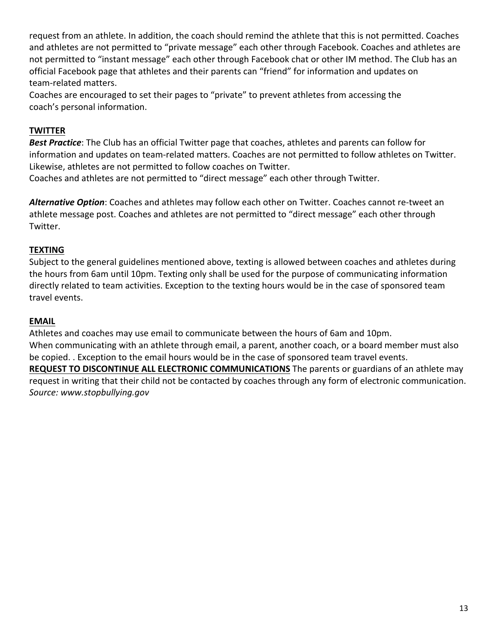request from an athlete. In addition, the coach should remind the athlete that this is not permitted. Coaches and athletes are not permitted to "private message" each other through Facebook. Coaches and athletes are not permitted to "instant message" each other through Facebook chat or other IM method. The Club has an official Facebook page that athletes and their parents can "friend" for information and updates on team-related matters.

Coaches are encouraged to set their pages to "private" to prevent athletes from accessing the coach's personal information.

#### **TWITTER**

**Best Practice**: The Club has an official Twitter page that coaches, athletes and parents can follow for information and updates on team-related matters. Coaches are not permitted to follow athletes on Twitter. Likewise, athletes are not permitted to follow coaches on Twitter. Coaches and athletes are not permitted to "direct message" each other through Twitter.

Alternative Option: Coaches and athletes may follow each other on Twitter. Coaches cannot re-tweet an

athlete message post. Coaches and athletes are not permitted to "direct message" each other through Twitter.

#### **TEXTING**

Subject to the general guidelines mentioned above, texting is allowed between coaches and athletes during the hours from 6am until 10pm. Texting only shall be used for the purpose of communicating information directly related to team activities. Exception to the texting hours would be in the case of sponsored team travel events.

#### **EMAIL**

Athletes and coaches may use email to communicate between the hours of 6am and 10pm. When communicating with an athlete through email, a parent, another coach, or a board member must also be copied. . Exception to the email hours would be in the case of sponsored team travel events. **REQUEST TO DISCONTINUE ALL ELECTRONIC COMMUNICATIONS** The parents or guardians of an athlete may request in writing that their child not be contacted by coaches through any form of electronic communication. *Source: www.stopbullying.gov*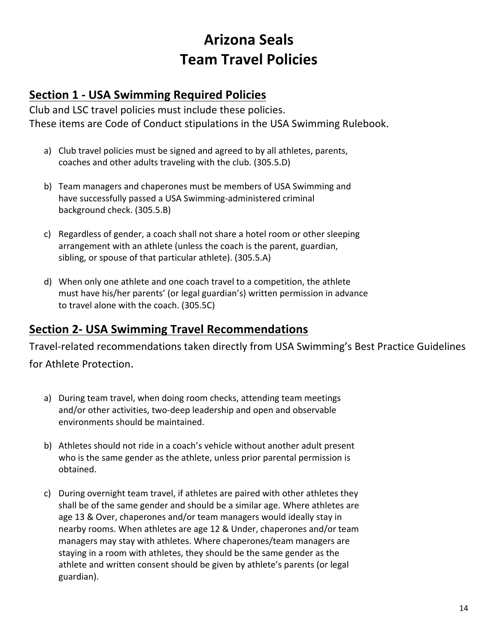### **Arizona Seals Team Travel Policies**

### **Section 1 - USA Swimming Required Policies**

Club and LSC travel policies must include these policies. These items are Code of Conduct stipulations in the USA Swimming Rulebook.

- a) Club travel policies must be signed and agreed to by all athletes, parents, coaches and other adults traveling with the club. (305.5.D)
- b) Team managers and chaperones must be members of USA Swimming and have successfully passed a USA Swimming-administered criminal background check. (305.5.B)
- c) Regardless of gender, a coach shall not share a hotel room or other sleeping arrangement with an athlete (unless the coach is the parent, guardian, sibling, or spouse of that particular athlete). (305.5.A)
- d) When only one athlete and one coach travel to a competition, the athlete must have his/her parents' (or legal guardian's) written permission in advance to travel alone with the coach. (305.5C)

### **Section 2- USA Swimming Travel Recommendations**

Travel-related recommendations taken directly from USA Swimming's Best Practice Guidelines

for Athlete Protection.

- a) During team travel, when doing room checks, attending team meetings and/or other activities, two-deep leadership and open and observable environments should be maintained.
- b) Athletes should not ride in a coach's vehicle without another adult present who is the same gender as the athlete, unless prior parental permission is obtained.
- c) During overnight team travel, if athletes are paired with other athletes they shall be of the same gender and should be a similar age. Where athletes are age 13 & Over, chaperones and/or team managers would ideally stay in nearby rooms. When athletes are age 12 & Under, chaperones and/or team managers may stay with athletes. Where chaperones/team managers are staying in a room with athletes, they should be the same gender as the athlete and written consent should be given by athlete's parents (or legal guardian).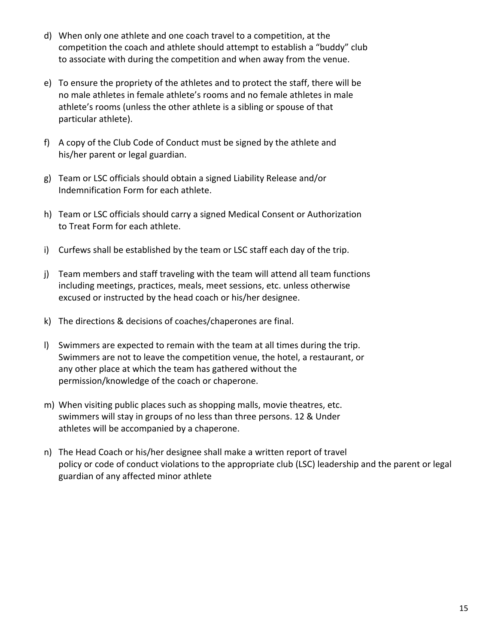- d) When only one athlete and one coach travel to a competition, at the competition the coach and athlete should attempt to establish a "buddy" club to associate with during the competition and when away from the venue.
- e) To ensure the propriety of the athletes and to protect the staff, there will be no male athletes in female athlete's rooms and no female athletes in male athlete's rooms (unless the other athlete is a sibling or spouse of that particular athlete).
- f) A copy of the Club Code of Conduct must be signed by the athlete and his/her parent or legal guardian.
- g) Team or LSC officials should obtain a signed Liability Release and/or Indemnification Form for each athlete.
- h) Team or LSC officials should carry a signed Medical Consent or Authorization to Treat Form for each athlete.
- i) Curfews shall be established by the team or LSC staff each day of the trip.
- j) Team members and staff traveling with the team will attend all team functions including meetings, practices, meals, meet sessions, etc. unless otherwise excused or instructed by the head coach or his/her designee.
- k) The directions & decisions of coaches/chaperones are final.
- I) Swimmers are expected to remain with the team at all times during the trip. Swimmers are not to leave the competition venue, the hotel, a restaurant, or any other place at which the team has gathered without the permission/knowledge of the coach or chaperone.
- m) When visiting public places such as shopping malls, movie theatres, etc. swimmers will stay in groups of no less than three persons. 12 & Under athletes will be accompanied by a chaperone.
- n) The Head Coach or his/her designee shall make a written report of travel policy or code of conduct violations to the appropriate club (LSC) leadership and the parent or legal guardian of any affected minor athlete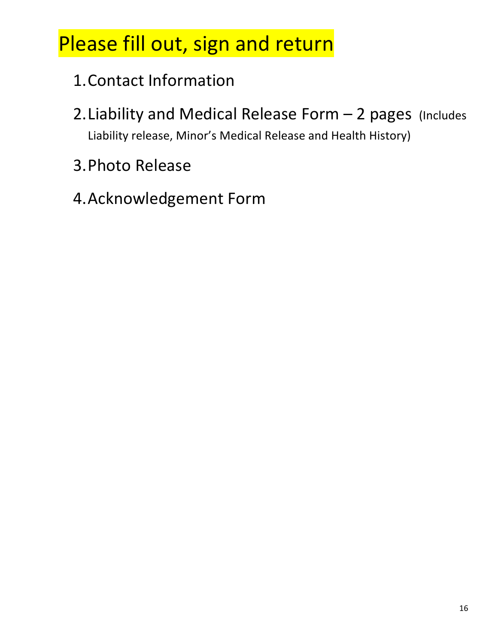# Please fill out, sign and return

- 1. Contact Information
- 2. Liability and Medical Release Form  $-$  2 pages (Includes Liability release, Minor's Medical Release and Health History)
- 3.Photo Release
- 4. Acknowledgement Form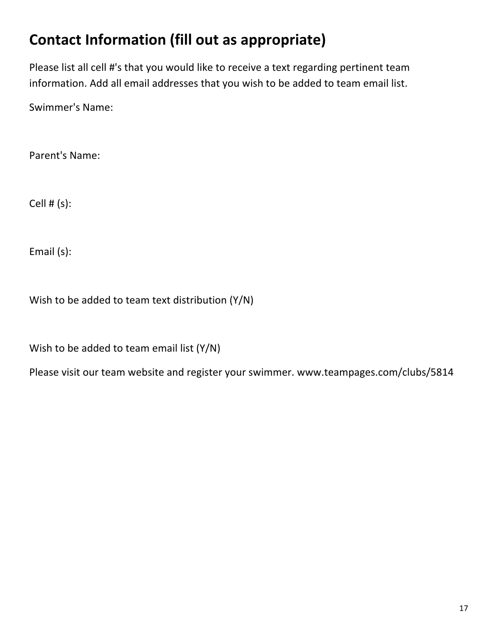# **Contact Information (fill out as appropriate)**

Please list all cell #'s that you would like to receive a text regarding pertinent team information. Add all email addresses that you wish to be added to team email list.

Swimmer's Name:

Parent's Name:

Cell  $# (s)$ :

Email (s):

Wish to be added to team text distribution  $(Y/N)$ 

Wish to be added to team email list  $(Y/N)$ 

Please visit our team website and register your swimmer. www.teampages.com/clubs/5814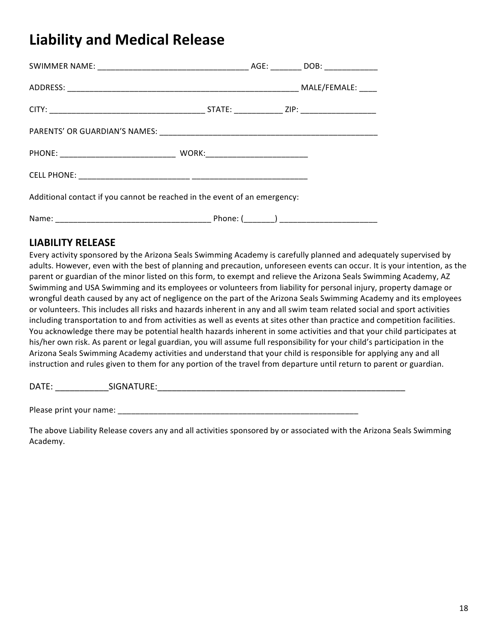### **Liability and Medical Release**

| Additional contact if you cannot be reached in the event of an emergency: |  |  |  |
|---------------------------------------------------------------------------|--|--|--|

Name: \_\_\_\_\_\_\_\_\_\_\_\_\_\_\_\_\_\_\_\_\_\_\_\_\_\_\_\_\_\_\_\_\_\_\_ Phone: (\_\_\_\_\_\_\_) \_\_\_\_\_\_\_\_\_\_\_\_\_\_\_\_\_\_\_\_\_\_ 

#### **LIABILITY RELEASE**

Every activity sponsored by the Arizona Seals Swimming Academy is carefully planned and adequately supervised by adults. However, even with the best of planning and precaution, unforeseen events can occur. It is your intention, as the parent or guardian of the minor listed on this form, to exempt and relieve the Arizona Seals Swimming Academy, AZ Swimming and USA Swimming and its employees or volunteers from liability for personal injury, property damage or wrongful death caused by any act of negligence on the part of the Arizona Seals Swimming Academy and its employees or volunteers. This includes all risks and hazards inherent in any and all swim team related social and sport activities including transportation to and from activities as well as events at sites other than practice and competition facilities. You acknowledge there may be potential health hazards inherent in some activities and that your child participates at his/her own risk. As parent or legal guardian, you will assume full responsibility for your child's participation in the Arizona Seals Swimming Academy activities and understand that your child is responsible for applying any and all instruction and rules given to them for any portion of the travel from departure until return to parent or guardian.

DATE: \_\_\_\_\_\_\_\_\_\_\_SIGNATURE:\_\_\_\_\_\_\_\_\_\_\_\_\_\_\_\_\_\_\_\_\_\_\_\_\_\_\_\_\_\_\_\_\_\_\_\_\_\_\_\_\_\_\_\_\_\_\_\_\_\_\_

Please print your name: \_\_\_\_\_\_\_\_\_\_\_\_\_\_\_\_\_\_\_\_\_\_\_\_\_\_\_\_\_\_\_\_\_\_\_\_\_\_\_\_\_\_\_\_\_\_\_\_\_\_\_\_\_\_

The above Liability Release covers any and all activities sponsored by or associated with the Arizona Seals Swimming Academy.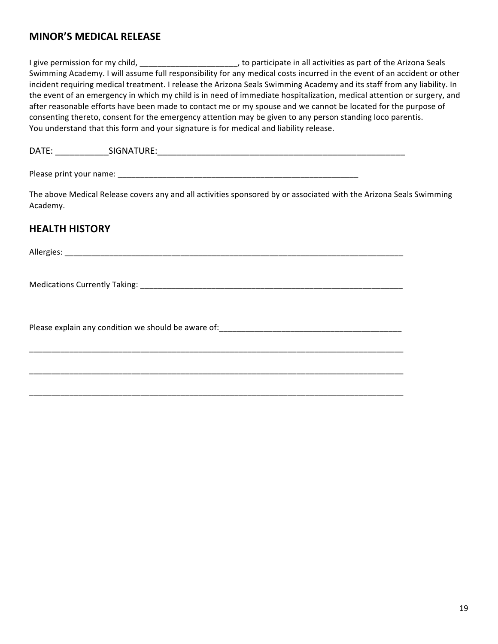#### **MINOR'S MEDICAL RELEASE**

I give permission for my child, \_\_\_\_\_\_\_\_\_\_\_\_\_\_\_\_\_\_\_\_\_\_\_, to participate in all activities as part of the Arizona Seals Swimming Academy. I will assume full responsibility for any medical costs incurred in the event of an accident or other incident requiring medical treatment. I release the Arizona Seals Swimming Academy and its staff from any liability. In the event of an emergency in which my child is in need of immediate hospitalization, medical attention or surgery, and after reasonable efforts have been made to contact me or my spouse and we cannot be located for the purpose of consenting thereto, consent for the emergency attention may be given to any person standing loco parentis. You understand that this form and your signature is for medical and liability release.

DATE: \_\_\_\_\_\_\_\_\_\_\_SIGNATURE:\_\_\_\_\_\_\_\_\_\_\_\_\_\_\_\_\_\_\_\_\_\_\_\_\_\_\_\_\_\_\_\_\_\_\_\_\_\_\_\_\_\_\_\_\_\_\_\_\_\_\_

\_\_\_\_\_\_\_\_\_\_\_\_\_\_\_\_\_\_\_\_\_\_\_\_\_\_\_\_\_\_\_\_\_\_\_\_\_\_\_\_\_\_\_\_\_\_\_\_\_\_\_\_\_\_\_\_\_\_\_\_\_\_\_\_\_\_\_\_\_\_\_\_\_\_\_\_\_\_\_\_\_\_\_\_

\_\_\_\_\_\_\_\_\_\_\_\_\_\_\_\_\_\_\_\_\_\_\_\_\_\_\_\_\_\_\_\_\_\_\_\_\_\_\_\_\_\_\_\_\_\_\_\_\_\_\_\_\_\_\_\_\_\_\_\_\_\_\_\_\_\_\_\_\_\_\_\_\_\_\_\_\_\_\_\_\_\_\_\_

\_\_\_\_\_\_\_\_\_\_\_\_\_\_\_\_\_\_\_\_\_\_\_\_\_\_\_\_\_\_\_\_\_\_\_\_\_\_\_\_\_\_\_\_\_\_\_\_\_\_\_\_\_\_\_\_\_\_\_\_\_\_\_\_\_\_\_\_\_\_\_\_\_\_\_\_\_\_\_\_\_\_\_\_

Please print your name: \_\_\_\_\_\_\_\_\_\_\_\_\_\_\_\_\_\_\_\_\_\_\_\_\_\_\_\_\_\_\_\_\_\_\_\_\_\_\_\_\_\_\_\_\_\_\_\_\_\_\_\_\_\_

The above Medical Release covers any and all activities sponsored by or associated with the Arizona Seals Swimming Academy. 

#### **HEALTH HISTORY**

Allergies: where the contract of the contract of the contract of the contract of the contract of the contract of the contract of the contract of the contract of the contract of the contract of the contract of the contract

Medications Currently Taking: \_\_\_\_\_\_\_\_\_\_\_\_\_\_\_\_\_\_\_\_\_\_\_\_\_\_\_\_\_\_\_\_\_\_\_\_\_\_\_\_\_\_\_\_\_\_\_\_\_\_\_\_\_\_\_\_\_\_\_ 

Please explain any condition we should be aware of:  $\blacksquare$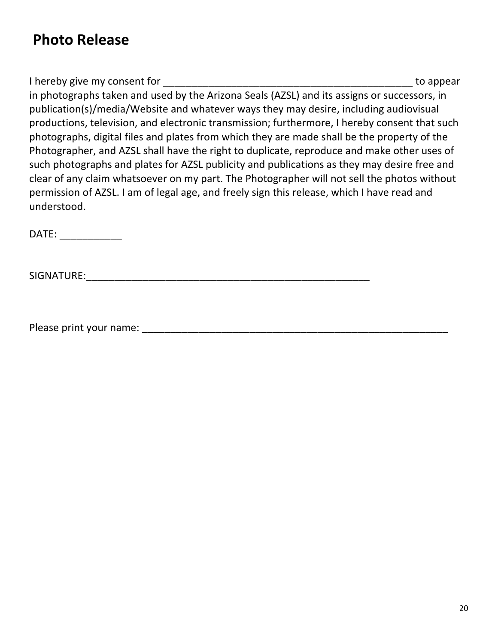### **Photo Release**

I hereby give my consent for the same state of the state of the support of the support of the support of the support of the support of the support of the support of the support of the support of the support of the support in photographs taken and used by the Arizona Seals (AZSL) and its assigns or successors, in publication(s)/media/Website and whatever ways they may desire, including audiovisual productions, television, and electronic transmission; furthermore, I hereby consent that such photographs, digital files and plates from which they are made shall be the property of the Photographer, and AZSL shall have the right to duplicate, reproduce and make other uses of such photographs and plates for AZSL publicity and publications as they may desire free and clear of any claim whatsoever on my part. The Photographer will not sell the photos without permission of AZSL. I am of legal age, and freely sign this release, which I have read and understood.

DATE:

SIGNATURE:\_\_\_\_\_\_\_\_\_\_\_\_\_\_\_\_\_\_\_\_\_\_\_\_\_\_\_\_\_\_\_\_\_\_\_\_\_\_\_\_\_\_\_\_\_\_\_\_\_\_

Please print your name: \_\_\_\_\_\_\_\_\_\_\_\_\_\_\_\_\_\_\_\_\_\_\_\_\_\_\_\_\_\_\_\_\_\_\_\_\_\_\_\_\_\_\_\_\_\_\_\_\_\_\_\_\_\_